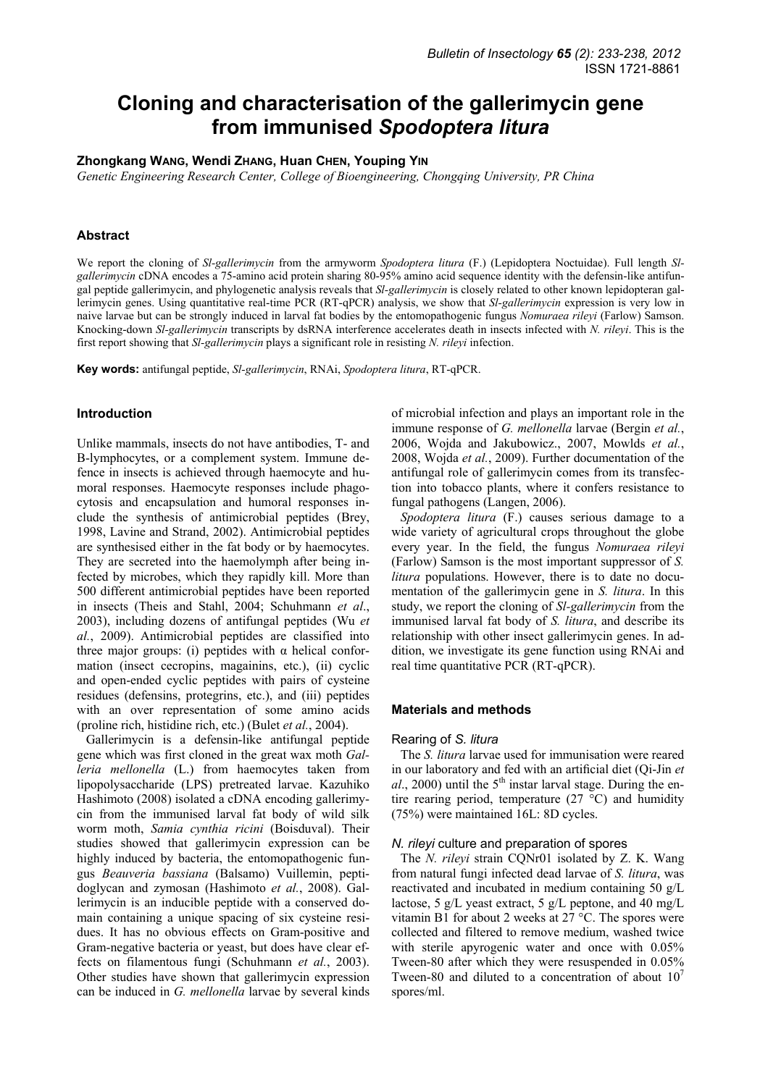# **Cloning and characterisation of the gallerimycin gene from immunised** *Spodoptera litura*

# **Zhongkang WANG, Wendi ZHANG, Huan CHEN, Youping YIN**

*Genetic Engineering Research Center, College of Bioengineering, Chongqing University, PR China* 

# **Abstract**

We report the cloning of *Sl-gallerimycin* from the armyworm *Spodoptera litura* (F.) (Lepidoptera Noctuidae). Full length *Slgallerimycin* cDNA encodes a 75-amino acid protein sharing 80-95% amino acid sequence identity with the defensin-like antifungal peptide gallerimycin, and phylogenetic analysis reveals that *Sl-gallerimycin* is closely related to other known lepidopteran gallerimycin genes. Using quantitative real-time PCR (RT-qPCR) analysis, we show that *Sl-gallerimycin* expression is very low in naive larvae but can be strongly induced in larval fat bodies by the entomopathogenic fungus *Nomuraea rileyi* (Farlow) Samson. Knocking-down *Sl-gallerimycin* transcripts by dsRNA interference accelerates death in insects infected with *N. rileyi*. This is the first report showing that *Sl-gallerimycin* plays a significant role in resisting *N. rileyi* infection.

**Key words:** antifungal peptide, *Sl-gallerimycin*, RNAi, *Spodoptera litura*, RT-qPCR.

## **Introduction**

Unlike mammals, insects do not have antibodies, T- and B-lymphocytes, or a complement system. Immune defence in insects is achieved through haemocyte and humoral responses. Haemocyte responses include phagocytosis and encapsulation and humoral responses include the synthesis of antimicrobial peptides (Brey, 1998, Lavine and Strand, 2002). Antimicrobial peptides are synthesised either in the fat body or by haemocytes. They are secreted into the haemolymph after being infected by microbes, which they rapidly kill. More than 500 different antimicrobial peptides have been reported in insects (Theis and Stahl, 2004; Schuhmann *et al*., 2003), including dozens of antifungal peptides (Wu *et al.*, 2009). Antimicrobial peptides are classified into three major groups: (i) peptides with α helical conformation (insect cecropins, magainins, etc.), (ii) cyclic and open-ended cyclic peptides with pairs of cysteine residues (defensins, protegrins, etc.), and (iii) peptides with an over representation of some amino acids (proline rich, histidine rich, etc.) (Bulet *et al.*, 2004).

Gallerimycin is a defensin-like antifungal peptide gene which was first cloned in the great wax moth *Galleria mellonella* (L.) from haemocytes taken from lipopolysaccharide (LPS) pretreated larvae. Kazuhiko Hashimoto (2008) isolated a cDNA encoding gallerimycin from the immunised larval fat body of wild silk worm moth, *Samia cynthia ricini* (Boisduval). Their studies showed that gallerimycin expression can be highly induced by bacteria, the entomopathogenic fungus *Beauveria bassiana* (Balsamo) Vuillemin, peptidoglycan and zymosan (Hashimoto *et al.*, 2008). Gallerimycin is an inducible peptide with a conserved domain containing a unique spacing of six cysteine residues. It has no obvious effects on Gram-positive and Gram-negative bacteria or yeast, but does have clear effects on filamentous fungi (Schuhmann *et al.*, 2003). Other studies have shown that gallerimycin expression can be induced in *G. mellonella* larvae by several kinds of microbial infection and plays an important role in the immune response of *G. mellonella* larvae (Bergin *et al.*, 2006, Wojda and Jakubowicz., 2007, Mowlds *et al.*, 2008, Wojda *et al.*, 2009). Further documentation of the antifungal role of gallerimycin comes from its transfection into tobacco plants, where it confers resistance to fungal pathogens (Langen, 2006).

*Spodoptera litura* (F.) causes serious damage to a wide variety of agricultural crops throughout the globe every year. In the field, the fungus *Nomuraea rileyi* (Farlow) Samson is the most important suppressor of *S. litura* populations. However, there is to date no documentation of the gallerimycin gene in *S. litura*. In this study, we report the cloning of *Sl-gallerimycin* from the immunised larval fat body of *S. litura*, and describe its relationship with other insect gallerimycin genes. In addition, we investigate its gene function using RNAi and real time quantitative PCR (RT-qPCR).

#### **Materials and methods**

#### Rearing of *S. litura*

The *S. litura* larvae used for immunisation were reared in our laboratory and fed with an artificial diet (Qi-Jin *et*   $al$ , 2000) until the  $5<sup>th</sup>$  instar larval stage. During the entire rearing period, temperature  $(27 \degree C)$  and humidity (75%) were maintained 16L: 8D cycles.

## *N. rileyi* culture and preparation of spores

The *N. rileyi* strain CQNr01 isolated by Z. K. Wang from natural fungi infected dead larvae of *S. litura*, was reactivated and incubated in medium containing 50 g/L lactose, 5 g/L yeast extract, 5 g/L peptone, and 40 mg/L vitamin B1 for about 2 weeks at 27 °C. The spores were collected and filtered to remove medium, washed twice with sterile apyrogenic water and once with  $0.05\%$ Tween-80 after which they were resuspended in 0.05% Tween-80 and diluted to a concentration of about  $10<sup>7</sup>$ spores/ml.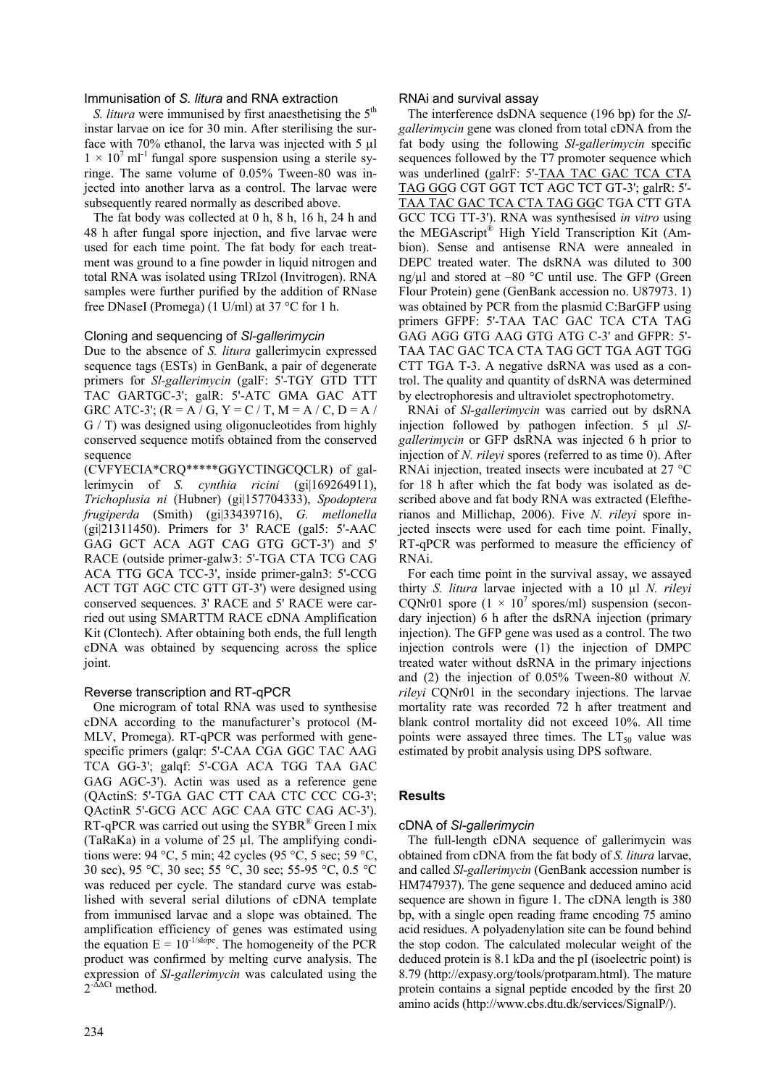# Immunisation of *S. litura* and RNA extraction

*S. litura* were immunised by first anaesthetising the 5<sup>th</sup> instar larvae on ice for 30 min. After sterilising the surface with 70% ethanol, the larva was injected with 5 µl  $1 \times 10^{7}$  ml<sup>-1</sup> fungal spore suspension using a sterile syringe. The same volume of 0.05% Tween-80 was injected into another larva as a control. The larvae were subsequently reared normally as described above.

The fat body was collected at 0 h, 8 h, 16 h, 24 h and 48 h after fungal spore injection, and five larvae were used for each time point. The fat body for each treatment was ground to a fine powder in liquid nitrogen and total RNA was isolated using TRIzol (Invitrogen). RNA samples were further purified by the addition of RNase free DNaseI (Promega) (1 U/ml) at 37 °C for 1 h.

## Cloning and sequencing of *Sl-gallerimycin*

Due to the absence of *S. litura* gallerimycin expressed sequence tags (ESTs) in GenBank, a pair of degenerate primers for *Sl-gallerimycin* (galF: 5'-TGY GTD TTT TAC GARTGC-3'; galR: 5'-ATC GMA GAC ATT GRC ATC-3'; (R = A / G, Y = C / T, M = A / C, D = A / G / T) was designed using oligonucleotides from highly conserved sequence motifs obtained from the conserved sequence

(CVFYECIA\*CRQ\*\*\*\*\*GGYCTINGCQCLR) of gallerimycin of *S. cynthia ricini* (gi|169264911), *Trichoplusia ni* (Hubner) (gi|157704333), *Spodoptera frugiperda* (Smith) (gi|33439716), *G. mellonella* (gi|21311450). Primers for 3' RACE (gal5: 5'-AAC GAG GCT ACA AGT CAG GTG GCT-3') and 5' RACE (outside primer-galw3: 5'-TGA CTA TCG CAG ACA TTG GCA TCC-3', inside primer-galn3: 5'-CCG ACT TGT AGC CTC GTT GT-3') were designed using conserved sequences. 3' RACE and 5' RACE were carried out using SMARTTM RACE cDNA Amplification Kit (Clontech). After obtaining both ends, the full length cDNA was obtained by sequencing across the splice joint.

## Reverse transcription and RT-qPCR

One microgram of total RNA was used to synthesise cDNA according to the manufacturer's protocol (M-MLV, Promega). RT-qPCR was performed with genespecific primers (galqr: 5'-CAA CGA GGC TAC AAG TCA GG-3'; galqf: 5'-CGA ACA TGG TAA GAC GAG AGC-3'). Actin was used as a reference gene (QActinS: 5'-TGA GAC CTT CAA CTC CCC CG-3'; QActinR 5'-GCG ACC AGC CAA GTC CAG AC-3'). RT-qPCR was carried out using the SYBR® Green I mix (TaRaKa) in a volume of  $25 \mu$ . The amplifying conditions were: 94 °C, 5 min; 42 cycles (95 °C, 5 sec; 59 °C, 30 sec), 95 °C, 30 sec; 55 °C, 30 sec; 55-95 °C, 0.5 °C was reduced per cycle. The standard curve was established with several serial dilutions of cDNA template from immunised larvae and a slope was obtained. The amplification efficiency of genes was estimated using the equation  $E = 10^{-1/slope}$ . The homogeneity of the PCR product was confirmed by melting curve analysis. The expression of *Sl-gallerimycin* was calculated using the  $2^{-\Delta\Delta Ct}$  method.

#### RNAi and survival assay

The interference dsDNA sequence (196 bp) for the *Slgallerimycin* gene was cloned from total cDNA from the fat body using the following *Sl-gallerimycin* specific sequences followed by the T7 promoter sequence which was underlined (galrF: 5'-TAA TAC GAC TCA CTA TAG GGG CGT GGT TCT AGC TCT GT-3'; galrR: 5'- TAA TAC GAC TCA CTA TAG GGC TGA CTT GTA GCC TCG TT-3'). RNA was synthesised *in vitro* using the MEGAscript® High Yield Transcription Kit (Ambion). Sense and antisense RNA were annealed in DEPC treated water. The dsRNA was diluted to 300 ng/ $\mu$ l and stored at –80 °C until use. The GFP (Green Flour Protein) gene (GenBank accession no. U87973. 1) was obtained by PCR from the plasmid C:BarGFP using primers GFPF: 5'-TAA TAC GAC TCA CTA TAG GAG AGG GTG AAG GTG ATG C-3' and GFPR: 5'- TAA TAC GAC TCA CTA TAG GCT TGA AGT TGG CTT TGA T-3. A negative dsRNA was used as a control. The quality and quantity of dsRNA was determined by electrophoresis and ultraviolet spectrophotometry.

RNAi of *Sl-gallerimycin* was carried out by dsRNA injection followed by pathogen infection. 5 µl *Slgallerimycin* or GFP dsRNA was injected 6 h prior to injection of *N. rileyi* spores (referred to as time 0). After RNAi injection, treated insects were incubated at 27 °C for 18 h after which the fat body was isolated as described above and fat body RNA was extracted (Eleftherianos and Millichap, 2006). Five *N. rileyi* spore injected insects were used for each time point. Finally, RT-qPCR was performed to measure the efficiency of RNAi.

For each time point in the survival assay, we assayed thirty *S. litura* larvae injected with a 10 µl *N. rileyi* CQNr01 spore  $(1 \times 10^7 \text{ spores/ml})$  suspension (secondary injection) 6 h after the dsRNA injection (primary injection). The GFP gene was used as a control. The two injection controls were (1) the injection of DMPC treated water without dsRNA in the primary injections and (2) the injection of 0.05% Tween-80 without *N. rileyi* CQNr01 in the secondary injections. The larvae mortality rate was recorded 72 h after treatment and blank control mortality did not exceed 10%. All time points were assayed three times. The  $LT_{50}$  value was estimated by probit analysis using DPS software.

# **Results**

## cDNA of *Sl-gallerimycin*

The full-length cDNA sequence of gallerimycin was obtained from cDNA from the fat body of *S. litura* larvae, and called *Sl-gallerimycin* (GenBank accession number is HM747937). The gene sequence and deduced amino acid sequence are shown in figure 1. The cDNA length is 380 bp, with a single open reading frame encoding 75 amino acid residues. A polyadenylation site can be found behind the stop codon. The calculated molecular weight of the deduced protein is 8.1 kDa and the pI (isoelectric point) is 8.79 (http://expasy.org/tools/protparam.html). The mature protein contains a signal peptide encoded by the first 20 amino acids (http://www.cbs.dtu.dk/services/SignalP/).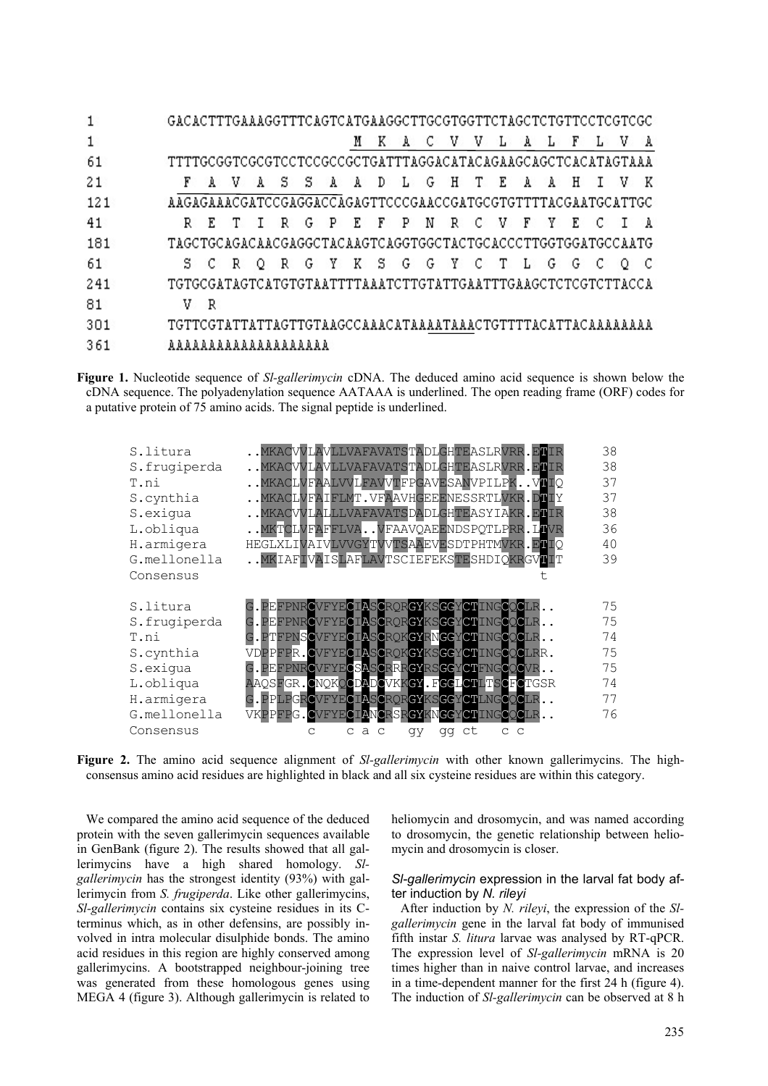|     | GACACTTTGAAAGGTTTCAGTCATGAAGGCTTGCGTGGTTCTAGCTCTGTTCCTCGTCGC               |
|-----|----------------------------------------------------------------------------|
|     | v<br>v<br>A<br>K<br>$\mathbf{A}$<br>-C.<br>$\mathbf{A}$<br>۰L.<br>ъL.<br>F |
| 61  | TTTTGCGGTCGCGTCCTCCGCCGCTGATTTAGGACATACAGAAGCAGCTCACATAGTAAA               |
| 21  | A A D L G H T E<br>F<br>ASS.<br>H<br>AV.<br>AA                             |
| 121 | AAGAGAAACGATCCGAGGACCAGAGTTCCCGAACCGATGCGTGTTTTACGAATGCATTGC               |
| 41  | EFP<br>NR C V F Y<br>R G P<br>E<br>R E T T<br>$\mathbf{a}$<br>$\mathbb{C}$ |
| 181 | TAGCTGCAGACAACGAGGCTACAAGTCAGGTGGCTACTGCACCCTTGGTGGATGCCAATG               |
| -61 | R G Y K S G G Y C T L G<br>SCR.<br>G<br>Q                                  |
| 241 | TGTGCGATAGTCATGTGTAATTTTAAATCTTGTATTTGAATTTGAAGCTCTCGTCTTACCA              |
| 81  | -R<br>V.                                                                   |
| 301 |                                                                            |
| 361 |                                                                            |

**Figure 1.** Nucleotide sequence of *Sl-gallerimycin* cDNA. The deduced amino acid sequence is shown below the cDNA sequence. The polyadenylation sequence AATAAA is underlined. The open reading frame (ORF) codes for a putative protein of 75 amino acids. The signal peptide is underlined.

| S.litura<br>S.frugiperda<br>T.ni<br>S.cynthia<br>S.exigua<br>L.obliqua<br>H.armigera<br>G.mellonella<br>Consensus | MKACVVLAVLLVAFAVATSTADLGHTEASLRVRR.ETIR<br>MKACVVLAVLLVAFAVATSTADLGHTEASLRVRR.ELIR<br>MKACLVFAALVVLFAVVTFPGAVESANVPILPKVIIQ<br>MKACLVFAIFLMT. VFAAVHGEEENESSRTLVKR. DTIY<br>MKACVVLALLLVAFAVATSDADLGHTEASYIAKR.ETIR<br>MKTCLVFAFFLVAVFAAVQAEENDSPQTLPRR.LIVR<br>HEGLXLIVAIVLVVGYTVVTSAAEVESDTPHTMVKR.ETIQ<br>MKIAFIVAISLAFLAVTSCIEFEKSTESHDIQKRGVIIT                                                | 38<br>38<br>37<br>37<br>38<br>36<br>40<br>39 |
|-------------------------------------------------------------------------------------------------------------------|-----------------------------------------------------------------------------------------------------------------------------------------------------------------------------------------------------------------------------------------------------------------------------------------------------------------------------------------------------------------------------------------------------|----------------------------------------------|
| S.litura<br>S.frugiperda<br>T.ni<br>S.cynthia<br>S.exiqua<br>L.obliqua<br>H.armigera<br>G.mellonella<br>Consensus | G. PEFPNRCVFYECIASCRORGYKSGGYCTINGCOCLR<br>G.PEFPNRCVFYECIASCRORGYKSGGYCTINGCOCLR<br>G.PTFPNSCVFYECIASCRQKGYRNGGYCTINGCOCLR<br>VDPPFPR.CVFYECIASCRQKGYKSGGYCTINGCQCLRR.<br>G. PEFPNRCVFYECSASCRRRGYRSGGYCTFNGCQCVR<br>AAQSFGR.CNQKQCDADCVKKGY.FGGLCTLTSCFCTGSR<br>G. PPLPGRCVFYECIASCRORGYKSGGYCTLNGCOCLR<br>VKPPFPG.CVFYECIANCRSRGYKNGGYCTINGCOCLR<br>$C$ $C$<br>$\alpha$ a<br>qy<br>ct<br>C<br>qq | 75<br>75<br>74<br>75<br>75<br>74<br>77<br>76 |

**Figure 2.** The amino acid sequence alignment of *Sl-gallerimycin* with other known gallerimycins. The highconsensus amino acid residues are highlighted in black and all six cysteine residues are within this category.

We compared the amino acid sequence of the deduced protein with the seven gallerimycin sequences available in GenBank (figure 2). The results showed that all gallerimycins have a high shared homology. *Slgallerimycin* has the strongest identity (93%) with gallerimycin from *S. frugiperda*. Like other gallerimycins, *Sl-gallerimycin* contains six cysteine residues in its Cterminus which, as in other defensins, are possibly involved in intra molecular disulphide bonds. The amino acid residues in this region are highly conserved among gallerimycins. A bootstrapped neighbour-joining tree was generated from these homologous genes using MEGA 4 (figure 3). Although gallerimycin is related to heliomycin and drosomycin, and was named according to drosomycin, the genetic relationship between heliomycin and drosomycin is closer.

# *Sl-gallerimycin* expression in the larval fat body after induction by *N. rileyi*

After induction by *N. rileyi*, the expression of the *Slgallerimycin* gene in the larval fat body of immunised fifth instar *S. litura* larvae was analysed by RT-qPCR. The expression level of *Sl-gallerimycin* mRNA is 20 times higher than in naive control larvae, and increases in a time-dependent manner for the first 24 h (figure 4). The induction of *Sl-gallerimycin* can be observed at 8 h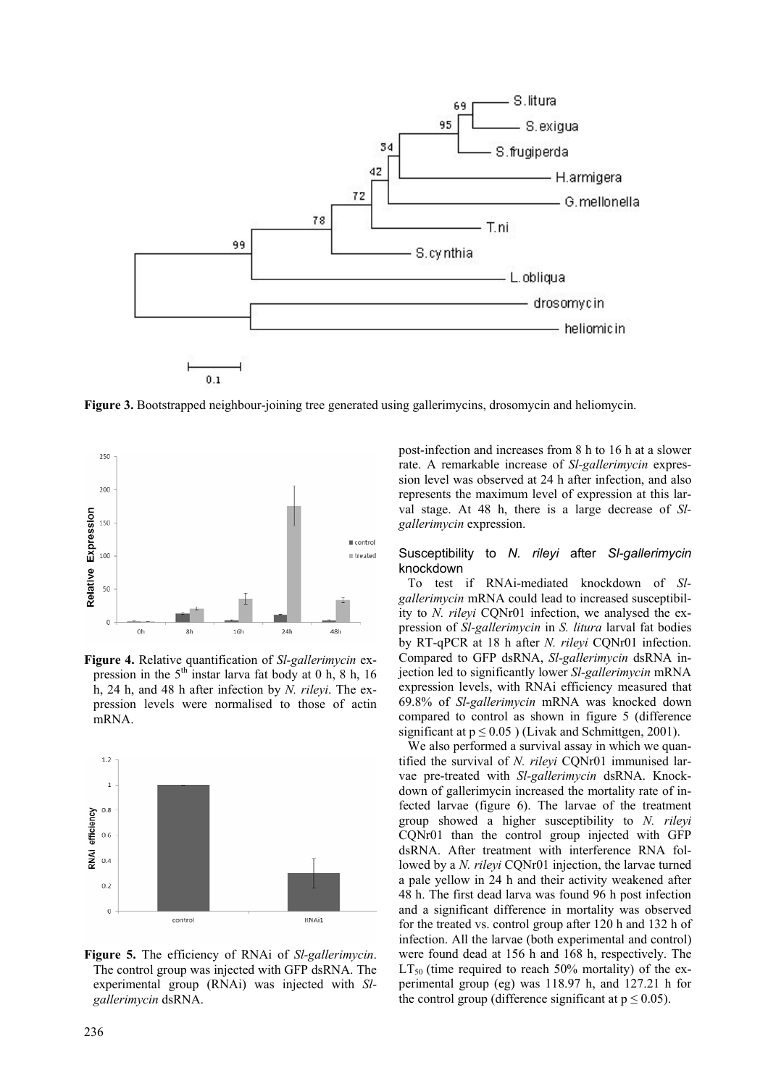

**Figure 3.** Bootstrapped neighbour-joining tree generated using gallerimycins, drosomycin and heliomycin.



**Figure 4.** Relative quantification of *Sl-gallerimycin* expression in the  $5<sup>th</sup>$  instar larva fat body at 0 h, 8 h, 16 h, 24 h, and 48 h after infection by *N. rileyi*. The expression levels were normalised to those of actin mRNA.



**Figure 5.** The efficiency of RNAi of *Sl-gallerimycin*. The control group was injected with GFP dsRNA. The experimental group (RNAi) was injected with *Slgallerimycin* dsRNA.

post-infection and increases from 8 h to 16 h at a slower rate. A remarkable increase of *Sl-gallerimycin* expression level was observed at 24 h after infection, and also represents the maximum level of expression at this larval stage. At 48 h, there is a large decrease of *Slgallerimycin* expression.

### Susceptibility to *N. rileyi* after *Sl-gallerimycin*  knockdown

To test if RNAi-mediated knockdown of *Slgallerimycin* mRNA could lead to increased susceptibility to *N. rileyi* CQNr01 infection, we analysed the expression of *Sl-gallerimycin* in *S. litura* larval fat bodies by RT-qPCR at 18 h after *N. rileyi* CQNr01 infection. Compared to GFP dsRNA, *Sl-gallerimycin* dsRNA injection led to significantly lower *Sl-gallerimycin* mRNA expression levels, with RNAi efficiency measured that 69.8% of *Sl-gallerimycin* mRNA was knocked down compared to control as shown in figure 5 (difference significant at  $p \le 0.05$ ) (Livak and Schmittgen, 2001).

We also performed a survival assay in which we quantified the survival of *N. rileyi* CQNr01 immunised larvae pre-treated with *Sl-gallerimycin* dsRNA. Knockdown of gallerimycin increased the mortality rate of infected larvae (figure 6). The larvae of the treatment group showed a higher susceptibility to *N. rileyi*  CQNr01 than the control group injected with GFP dsRNA. After treatment with interference RNA followed by a *N. rileyi* CQNr01 injection, the larvae turned a pale yellow in 24 h and their activity weakened after 48 h. The first dead larva was found 96 h post infection and a significant difference in mortality was observed for the treated vs. control group after 120 h and 132 h of infection. All the larvae (both experimental and control) were found dead at 156 h and 168 h, respectively. The  $LT_{50}$  (time required to reach 50% mortality) of the experimental group (eg) was 118.97 h, and 127.21 h for the control group (difference significant at  $p \le 0.05$ ).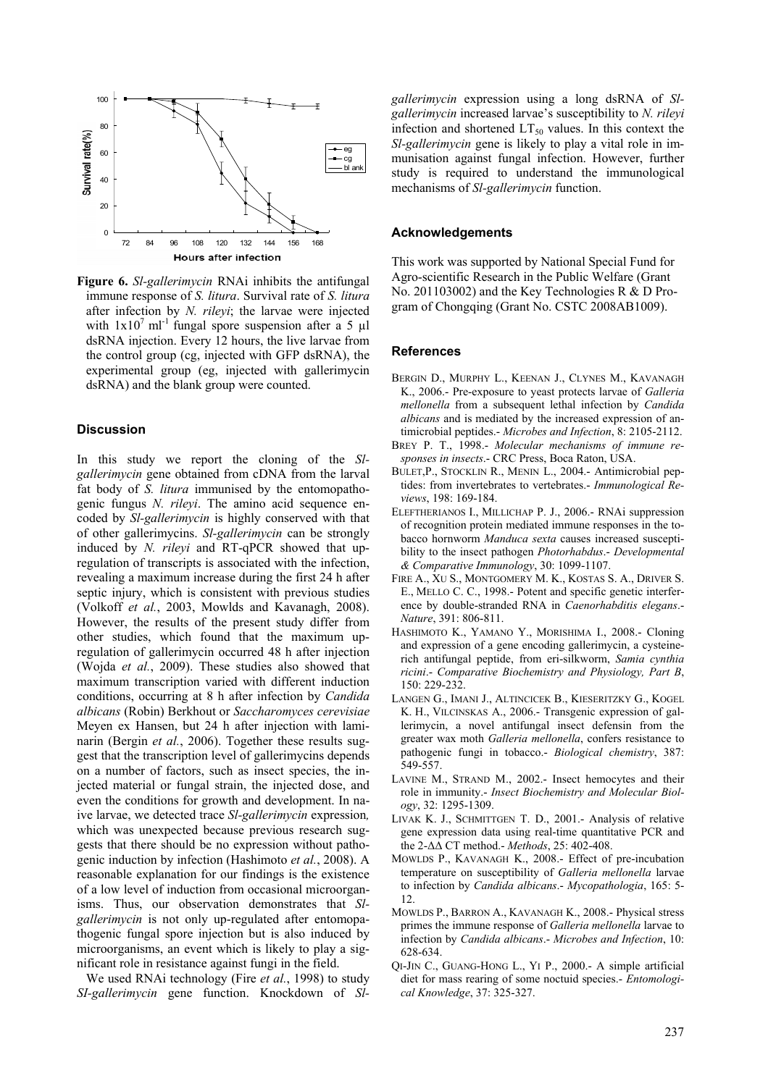

**Figure 6.** *Sl-gallerimycin* RNAi inhibits the antifungal immune response of *S. litura*. Survival rate of *S. litura* after infection by *N. rileyi*; the larvae were injected with  $1x10^7$  ml<sup>-1</sup> fungal spore suspension after a 5 µl dsRNA injection. Every 12 hours, the live larvae from the control group (cg, injected with GFP dsRNA), the experimental group (eg, injected with gallerimycin dsRNA) and the blank group were counted.

# **Discussion**

In this study we report the cloning of the *Slgallerimycin* gene obtained from cDNA from the larval fat body of *S. litura* immunised by the entomopathogenic fungus *N. rileyi*. The amino acid sequence encoded by *Sl-gallerimycin* is highly conserved with that of other gallerimycins. *Sl-gallerimycin* can be strongly induced by *N. rileyi* and RT-qPCR showed that upregulation of transcripts is associated with the infection, revealing a maximum increase during the first 24 h after septic injury, which is consistent with previous studies (Volkoff *et al.*, 2003, Mowlds and Kavanagh, 2008). However, the results of the present study differ from other studies, which found that the maximum upregulation of gallerimycin occurred 48 h after injection (Wojda *et al.*, 2009). These studies also showed that maximum transcription varied with different induction conditions, occurring at 8 h after infection by *Candida albicans* (Robin) Berkhout or *Saccharomyces cerevisiae* Meyen ex Hansen, but 24 h after injection with laminarin (Bergin *et al.*, 2006). Together these results suggest that the transcription level of gallerimycins depends on a number of factors, such as insect species, the injected material or fungal strain, the injected dose, and even the conditions for growth and development. In naive larvae, we detected trace *Sl-gallerimycin* expression*,*  which was unexpected because previous research suggests that there should be no expression without pathogenic induction by infection (Hashimoto *et al.*, 2008). A reasonable explanation for our findings is the existence of a low level of induction from occasional microorganisms. Thus, our observation demonstrates that *Slgallerimycin* is not only up-regulated after entomopathogenic fungal spore injection but is also induced by microorganisms, an event which is likely to play a significant role in resistance against fungi in the field.

We used RNAi technology (Fire *et al.*, 1998) to study *SI-gallerimycin* gene function. Knockdown of *Sl-* *gallerimycin* expression using a long dsRNA of *Slgallerimycin* increased larvae's susceptibility to *N. rileyi* infection and shortened  $LT_{50}$  values. In this context the *Sl-gallerimycin* gene is likely to play a vital role in immunisation against fungal infection. However, further study is required to understand the immunological mechanisms of *Sl-gallerimycin* function.

# **Acknowledgements**

This work was supported by National Special Fund for Agro-scientific Research in the Public Welfare (Grant No. 201103002) and the Key Technologies R & D Program of Chongqing (Grant No. CSTC 2008AB1009).

#### **References**

- BERGIN D., MURPHY L., KEENAN J., CLYNES M., KAVANAGH K., 2006.- Pre-exposure to yeast protects larvae of *Galleria mellonella* from a subsequent lethal infection by *Candida albicans* and is mediated by the increased expression of antimicrobial peptides.- *Microbes and Infection*, 8: 2105-2112.
- BREY P. T., 1998.- *Molecular mechanisms of immune responses in insects*.- CRC Press, Boca Raton, USA.
- BULET,P., STOCKLIN R., MENIN L., 2004.- Antimicrobial peptides: from invertebrates to vertebrates.- *Immunological Reviews*, 198: 169-184.
- ELEFTHERIANOS I., MILLICHAP P. J., 2006.- RNAi suppression of recognition protein mediated immune responses in the tobacco hornworm *Manduca sexta* causes increased susceptibility to the insect pathogen *Photorhabdus*.- *Developmental & Comparative Immunology*, 30: 1099-1107.
- FIRE A., XU S., MONTGOMERY M. K., KOSTAS S. A., DRIVER S. E., MELLO C. C., 1998.- Potent and specific genetic interference by double-stranded RNA in *Caenorhabditis elegans*.- *Nature*, 391: 806-811.
- HASHIMOTO K., YAMANO Y., MORISHIMA I., 2008.- Cloning and expression of a gene encoding gallerimycin, a cysteinerich antifungal peptide, from eri-silkworm, *Samia cynthia ricini*.- *Comparative Biochemistry and Physiology, Part B*, 150: 229-232.
- LANGEN G., IMANI J., ALTINCICEK B., KIESERITZKY G., KOGEL K. H., VILCINSKAS A., 2006.- Transgenic expression of gallerimycin, a novel antifungal insect defensin from the greater wax moth *Galleria mellonella*, confers resistance to pathogenic fungi in tobacco.- *Biological chemistry*, 387: 549-557.
- LAVINE M., STRAND M., 2002.- Insect hemocytes and their role in immunity.- *Insect Biochemistry and Molecular Biology*, 32: 1295-1309.
- LIVAK K. J., SCHMITTGEN T. D., 2001.- Analysis of relative gene expression data using real-time quantitative PCR and the 2-∆∆ CT method.- *Methods*, 25: 402-408.
- MOWLDS P., KAVANAGH K., 2008.- Effect of pre-incubation temperature on susceptibility of *Galleria mellonella* larvae to infection by *Candida albicans*.- *Mycopathologia*, 165: 5- 12.
- MOWLDS P., BARRON A., KAVANAGH K., 2008.- Physical stress primes the immune response of *Galleria mellonella* larvae to infection by *Candida albicans*.- *Microbes and Infection*, 10: 628-634.
- QI-JIN C., GUANG-HONG L., YI P., 2000.- A simple artificial diet for mass rearing of some noctuid species.- *Entomological Knowledge*, 37: 325-327.